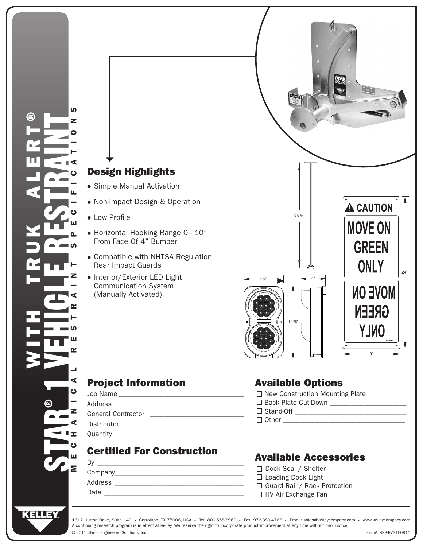

## Project Information

• Low Profile

Rear Impact Guards

Communication System (Manually Activated)

## Certified For Construction

| B١      |  |
|---------|--|
| Company |  |
| Address |  |
| Date    |  |
|         |  |

## Available Options

| □ New Construction Mounting Plate |  |
|-----------------------------------|--|
| □ Back Plate Cut-Down             |  |
| $\Box$ Stand-Off                  |  |

 $\Box$  Other

## Available Accessories

| □ Dock Seal / Shelter               |
|-------------------------------------|
| $\Box$ Loading Dock Light           |
| $\Box$ Guard Rail / Rack Protection |
| $\Box$ HV Air Exchange Fan          |

A continuing research program is in effect at Kelley. We reserve the right to incorporate product improvement at any time without prior notice. © 2011 4Front Engineered Solutions, Inc. Form#: KPS-RVSTT-0911